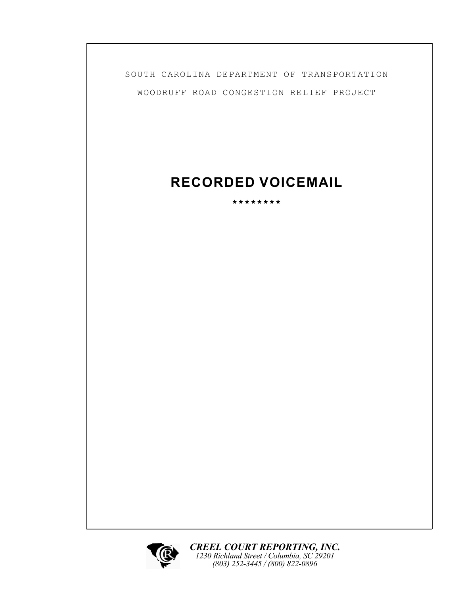SOUTH CAROLINA DEPARTMENT OF TRANSPORTATION WOODRUFF ROAD CONGESTION RELIEF PROJECT

## **RECORDED VOICEMAIL**

**\*\*\*\*\*\*\*\***

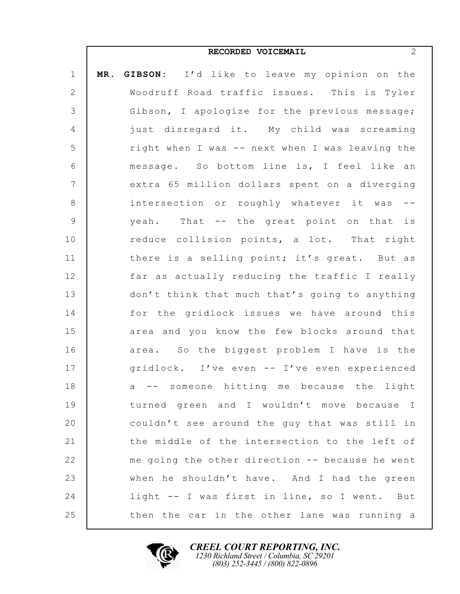|                | 2<br>RECORDED VOICEMAIL                         |
|----------------|-------------------------------------------------|
| $\mathbf 1$    | MR. GIBSON: I'd like to leave my opinion on the |
| 2              | Woodruff Road traffic issues. This is Tyler     |
| $\mathcal{S}$  | Gibson, I apologize for the previous message;   |
| $\overline{4}$ | just disregard it. My child was screaming       |
| 5              | right when I was -- next when I was leaving the |
| 6              | message. So bottom line is, I feel like an      |
| $\overline{7}$ | extra 65 million dollars spent on a diverging   |
| 8              | intersection or roughly whatever it was<br>$ -$ |
| 9              | yeah. That -- the great point on that is        |
| $10$           | reduce collision points, a lot. That right      |
| 11             | there is a selling point; it's great. But as    |
| 12             | far as actually reducing the traffic I really   |
| 13             | don't think that much that's going to anything  |
| 14             | for the gridlock issues we have around this     |
| 15             | area and you know the few blocks around that    |
| 16             | area. So the biggest problem I have is the      |
| 17             | gridlock. I've even -- I've even experienced    |
| 18             | a -- someone hitting me because the light       |
| 19             | turned green and I wouldn't move because I      |
| 20             | couldn't see around the guy that was still in   |
| 21             | the middle of the intersection to the left of   |
| 22             | me going the other direction -- because he went |
| 23             | when he shouldn't have. And I had the green     |
| 24             | light -- I was first in line, so I went. But    |
| 25             | then the car in the other lane was running a    |

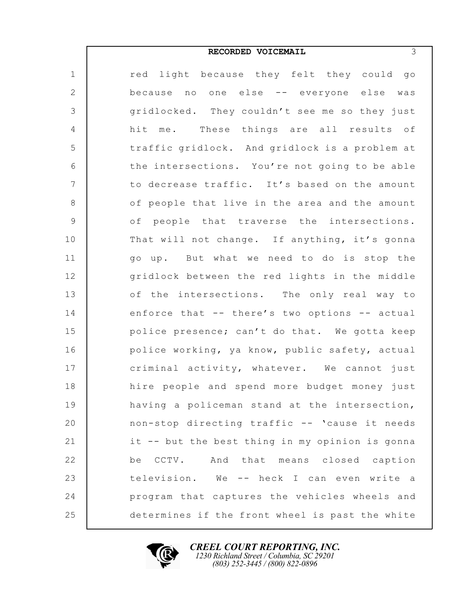## **RECORDED VOICEMAIL** 3

| $\mathbf 1$    | red light because they felt they could go       |
|----------------|-------------------------------------------------|
| $\mathbf{2}$   | because no one else -- everyone else was        |
| 3              | gridlocked. They couldn't see me so they just   |
| $\overline{4}$ | me. These things are all results of<br>hit      |
| 5              | traffic gridlock. And gridlock is a problem at  |
| $\sqrt{6}$     | the intersections. You're not going to be able  |
| $\overline{7}$ | to decrease traffic. It's based on the amount   |
| 8              | of people that live in the area and the amount  |
| 9              | of people that traverse the intersections.      |
| 10             | That will not change. If anything, it's gonna   |
| 11             | go up. But what we need to do is stop the       |
| 12             | gridlock between the red lights in the middle   |
| 13             | of the intersections. The only real way to      |
| 14             | enforce that -- there's two options -- actual   |
| 15             | police presence; can't do that. We gotta keep   |
| 16             | police working, ya know, public safety, actual  |
| 17             | criminal activity, whatever. We cannot just     |
| 18             | hire people and spend more budget money just    |
| 19             | having a policeman stand at the intersection,   |
| 20             | non-stop directing traffic -- 'cause it needs   |
| 21             | it -- but the best thing in my opinion is gonna |
| 22             | CCTV. And that means closed caption<br>be       |
| 23             | television. We -- heck I can even write a       |
| 24             | program that captures the vehicles wheels and   |
| 25             | determines if the front wheel is past the white |

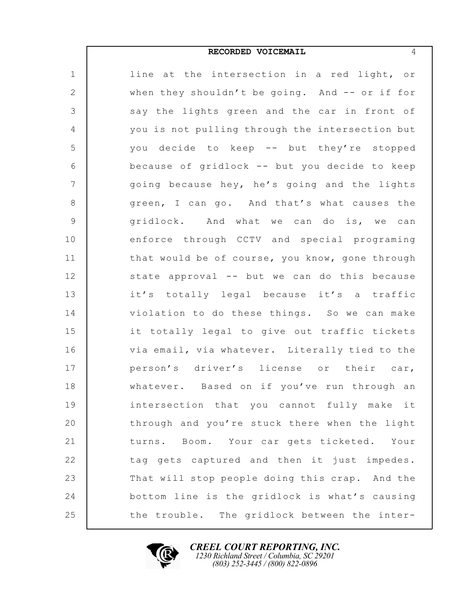## **RECORDED VOICEMAIL** 4

| $\mathbf 1$     | line at the intersection in a red light, or     |
|-----------------|-------------------------------------------------|
| $\mathbf{2}$    | when they shouldn't be going. And -- or if for  |
| 3               | say the lights green and the car in front of    |
| $\overline{4}$  | you is not pulling through the intersection but |
| 5               | you decide to keep -- but they're stopped       |
| $\sqrt{6}$      | because of gridlock -- but you decide to keep   |
| $7\phantom{.0}$ | going because hey, he's going and the lights    |
| 8               | green, I can go. And that's what causes the     |
| 9               | gridlock. And what we can do is, we can         |
| 10              | enforce through CCTV and special programing     |
| 11              | that would be of course, you know, gone through |
| 12              | state approval -- but we can do this because    |
| 13              | it's totally legal because it's a traffic       |
| 14              | violation to do these things. So we can make    |
| 15              | it totally legal to give out traffic tickets    |
| 16              | via email, via whatever. Literally tied to the  |
| 17              | person's driver's license or their car,         |
| 18              | whatever. Based on if you've run through an     |
| 19              | intersection that you cannot fully make it      |
| 20              | through and you're stuck there when the light   |
| 21              | turns. Boom. Your car gets ticketed. Your       |
| 22              | tag gets captured and then it just impedes.     |
| 23              | That will stop people doing this crap. And the  |
| 24              | bottom line is the gridlock is what's causing   |
| 25              | the trouble. The gridlock between the inter-    |